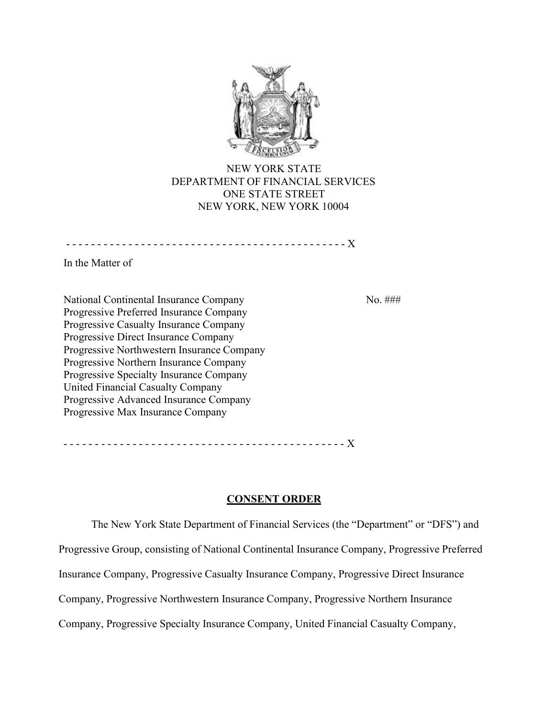

NEW YORK STATE DEPARTMENT OF FINANCIAL SERVICES ONE STATE STREET NEW YORK, NEW YORK 10004

- - - - - - - - - - - - - - - - - - - - - - - - - - - - - - - - - - - - - - - - - - - - - X

In the Matter of

National Continental Insurance Company Progressive Preferred Insurance Company Progressive Casualty Insurance Company Progressive Direct Insurance Company Progressive Northwestern Insurance Company Progressive Northern Insurance Company Progressive Specialty Insurance Company United Financial Casualty Company Progressive Advanced Insurance Company Progressive Max Insurance Company

No. ###

- - - - - - - - - - - - - - - - - - - - - - - - - - - - - - - - - - - - - - - - - - - - - X

# **CONSENT ORDER**

The New York State Department of Financial Services (the "Department" or "DFS") and Progressive Group, consisting of National Continental Insurance Company, Progressive Preferred Insurance Company, Progressive Casualty Insurance Company, Progressive Direct Insurance Company, Progressive Northwestern Insurance Company, Progressive Northern Insurance Company, Progressive Specialty Insurance Company, United Financial Casualty Company,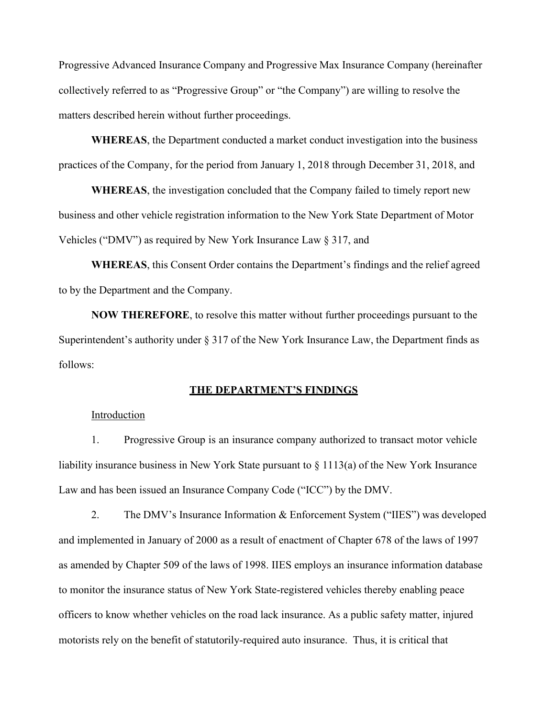Progressive Advanced Insurance Company and Progressive Max Insurance Company (hereinafter collectively referred to as "Progressive Group" or "the Company") are willing to resolve the matters described herein without further proceedings.

**WHEREAS**, the Department conducted a market conduct investigation into the business practices of the Company, for the period from January 1, 2018 through December 31, 2018, and

**WHEREAS**, the investigation concluded that the Company failed to timely report new business and other vehicle registration information to the New York State Department of Motor Vehicles ("DMV") as required by New York Insurance Law § 317, and

**WHEREAS**, this Consent Order contains the Department's findings and the relief agreed to by the Department and the Company.

**NOW THEREFORE**, to resolve this matter without further proceedings pursuant to the Superintendent's authority under § 317 of the New York Insurance Law, the Department finds as follows:

## **THE DEPARTMENT'S FINDINGS**

#### Introduction

1. Progressive Group is an insurance company authorized to transact motor vehicle liability insurance business in New York State pursuant to  $\S 1113(a)$  of the New York Insurance Law and has been issued an Insurance Company Code ("ICC") by the DMV.

2. The DMV's Insurance Information & Enforcement System ("IIES") was developed and implemented in January of 2000 as a result of enactment of Chapter 678 of the laws of 1997 as amended by Chapter 509 of the laws of 1998. IIES employs an insurance information database to monitor the insurance status of New York State-registered vehicles thereby enabling peace officers to know whether vehicles on the road lack insurance. As a public safety matter, injured motorists rely on the benefit of statutorily-required auto insurance. Thus, it is critical that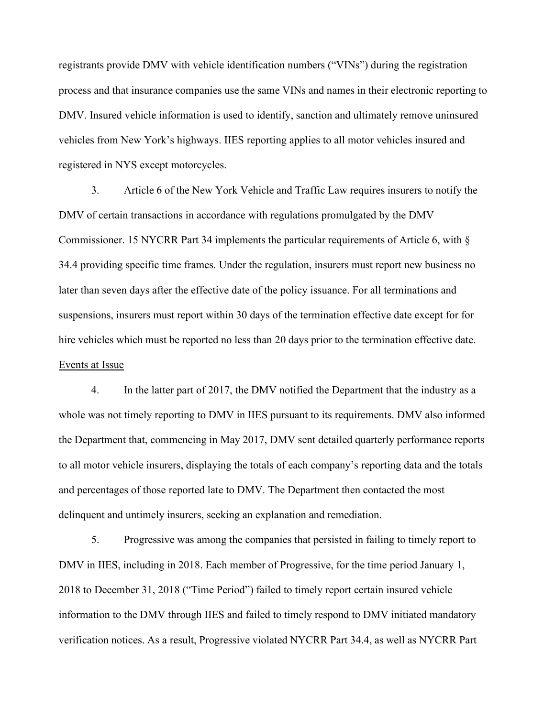registrants provide DMV with vehicle identification numbers ("VINs") during the registration process and that insurance companies use the same VINs and names in their electronic reporting to DMV. Insured vehicle information is used to identify, sanction and ultimately remove uninsured vehicles from New York's highways. IIES reporting applies to all motor vehicles insured and registered in NYS except motorcycles.

3. Article 6 of the New York Vehicle and Traffic Law requires insurers to notify the DMV of certain transactions in accordance with regulations promulgated by the DMV Commissioner. 15 NYCRR Part 34 implements the particular requirements of Article 6, with § 34.4 providing specific time frames. Under the regulation, insurers must report new business no later than seven days after the effective date of the policy issuance. For all terminations and suspensions, insurers must report within 30 days of the termination effective date except for for hire vehicles which must be reported no less than 20 days prior to the termination effective date. Events at Issue

4. In the latter part of 2017, the DMV notified the Department that the industry as a whole was not timely reporting to DMV in IIES pursuant to its requirements. DMV also informed the Department that, commencing in May 2017, DMV sent detailed quarterly performance reports to all motor vehicle insurers, displaying the totals of each company's reporting data and the totals and percentages of those reported late to DMV. The Department then contacted the most delinquent and untimely insurers, seeking an explanation and remediation.

5. Progressive was among the companies that persisted in failing to timely report to DMV in IIES, including in 2018. Each member of Progressive, for the time period January 1, 2018 to December 31, 2018 ("Time Period") failed to timely report certain insured vehicle information to the DMV through IIES and failed to timely respond to DMV initiated mandatory verification notices. As a result, Progressive violated NYCRR Part 34.4, as well as NYCRR Part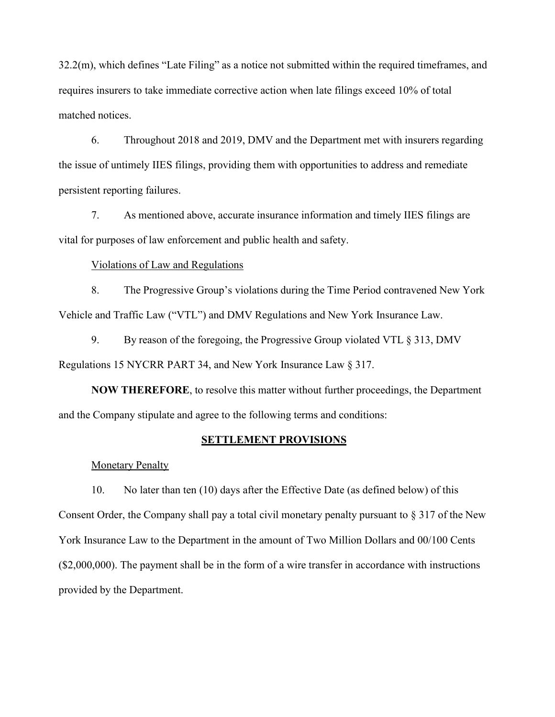32.2(m), which defines "Late Filing" as a notice not submitted within the required timeframes, and requires insurers to take immediate corrective action when late filings exceed 10% of total matched notices.

6. Throughout 2018 and 2019, DMV and the Department met with insurers regarding the issue of untimely IIES filings, providing them with opportunities to address and remediate persistent reporting failures.

7. As mentioned above, accurate insurance information and timely IIES filings are vital for purposes of law enforcement and public health and safety.

### Violations of Law and Regulations

8. The Progressive Group's violations during the Time Period contravened New York Vehicle and Traffic Law ("VTL") and DMV Regulations and New York Insurance Law.

9. By reason of the foregoing, the Progressive Group violated VTL § 313, DMV Regulations 15 NYCRR PART 34, and New York Insurance Law § 317.

**NOW THEREFORE**, to resolve this matter without further proceedings, the Department and the Company stipulate and agree to the following terms and conditions:

### **SETTLEMENT PROVISIONS**

Monetary Penalty

10. No later than ten (10) days after the Effective Date (as defined below) of this Consent Order, the Company shall pay a total civil monetary penalty pursuant to § 317 of the New York Insurance Law to the Department in the amount of Two Million Dollars and 00/100 Cents (\$2,000,000). The payment shall be in the form of a wire transfer in accordance with instructions provided by the Department.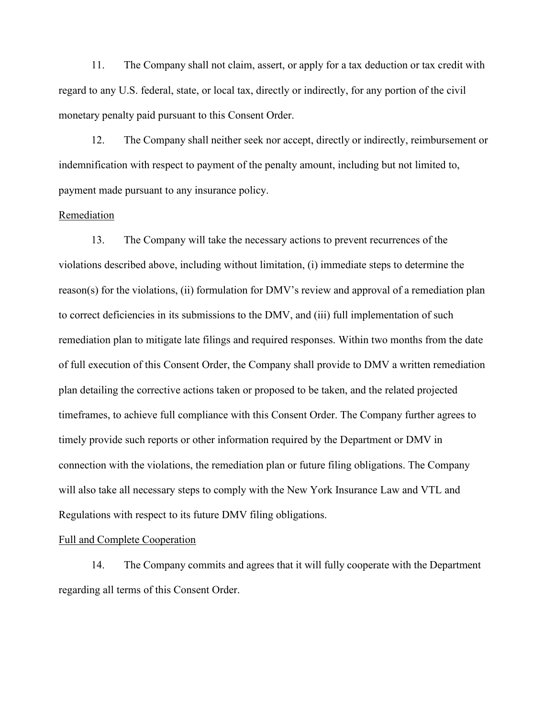11. The Company shall not claim, assert, or apply for a tax deduction or tax credit with regard to any U.S. federal, state, or local tax, directly or indirectly, for any portion of the civil monetary penalty paid pursuant to this Consent Order.

12. The Company shall neither seek nor accept, directly or indirectly, reimbursement or indemnification with respect to payment of the penalty amount, including but not limited to, payment made pursuant to any insurance policy.

#### Remediation

13. The Company will take the necessary actions to prevent recurrences of the violations described above, including without limitation, (i) immediate steps to determine the reason(s) for the violations, (ii) formulation for DMV's review and approval of a remediation plan to correct deficiencies in its submissions to the DMV, and (iii) full implementation of such remediation plan to mitigate late filings and required responses. Within two months from the date of full execution of this Consent Order, the Company shall provide to DMV a written remediation plan detailing the corrective actions taken or proposed to be taken, and the related projected timeframes, to achieve full compliance with this Consent Order. The Company further agrees to timely provide such reports or other information required by the Department or DMV in connection with the violations, the remediation plan or future filing obligations. The Company will also take all necessary steps to comply with the New York Insurance Law and VTL and Regulations with respect to its future DMV filing obligations.

#### Full and Complete Cooperation

14. The Company commits and agrees that it will fully cooperate with the Department regarding all terms of this Consent Order.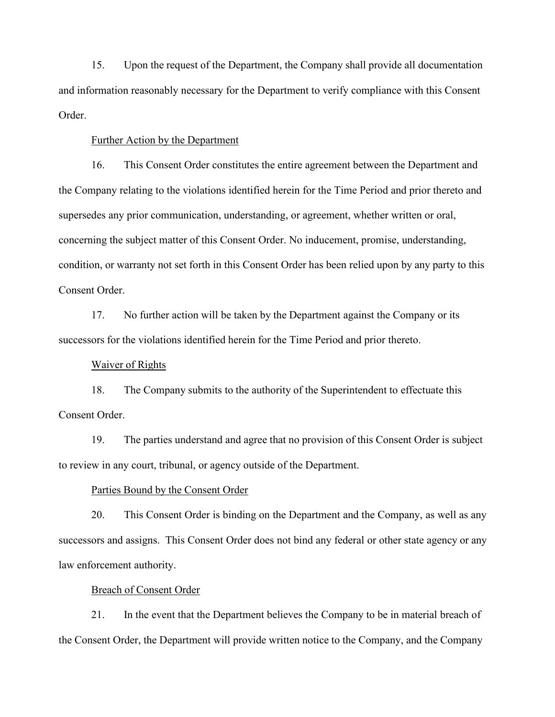15. Upon the request of the Department, the Company shall provide all documentation and information reasonably necessary for the Department to verify compliance with this Consent Order.

## Further Action by the Department

16. This Consent Order constitutes the entire agreement between the Department and the Company relating to the violations identified herein for the Time Period and prior thereto and supersedes any prior communication, understanding, or agreement, whether written or oral, concerning the subject matter of this Consent Order. No inducement, promise, understanding, condition, or warranty not set forth in this Consent Order has been relied upon by any party to this Consent Order.

17. No further action will be taken by the Department against the Company or its successors for the violations identified herein for the Time Period and prior thereto.

#### Waiver of Rights

18. The Company submits to the authority of the Superintendent to effectuate this Consent Order.

19. The parties understand and agree that no provision of this Consent Order is subject to review in any court, tribunal, or agency outside of the Department.

### Parties Bound by the Consent Order

20. This Consent Order is binding on the Department and the Company, as well as any successors and assigns. This Consent Order does not bind any federal or other state agency or any law enforcement authority.

### Breach of Consent Order

21. In the event that the Department believes the Company to be in material breach of the Consent Order, the Department will provide written notice to the Company, and the Company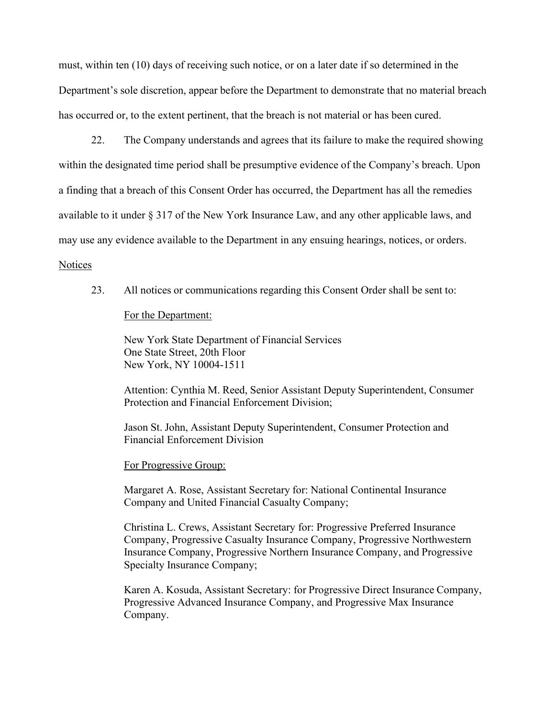must, within ten (10) days of receiving such notice, or on a later date if so determined in the Department's sole discretion, appear before the Department to demonstrate that no material breach has occurred or, to the extent pertinent, that the breach is not material or has been cured.

22. The Company understands and agrees that its failure to make the required showing within the designated time period shall be presumptive evidence of the Company's breach. Upon a finding that a breach of this Consent Order has occurred, the Department has all the remedies available to it under § 317 of the New York Insurance Law, and any other applicable laws, and may use any evidence available to the Department in any ensuing hearings, notices, or orders.

#### **Notices**

23. All notices or communications regarding this Consent Order shall be sent to:

For the Department:

New York State Department of Financial Services One State Street, 20th Floor New York, NY 10004-1511

Attention: Cynthia M. Reed, Senior Assistant Deputy Superintendent, Consumer Protection and Financial Enforcement Division;

Jason St. John, Assistant Deputy Superintendent, Consumer Protection and Financial Enforcement Division

### For Progressive Group:

Margaret A. Rose, Assistant Secretary for: National Continental Insurance Company and United Financial Casualty Company;

Christina L. Crews, Assistant Secretary for: Progressive Preferred Insurance Company, Progressive Casualty Insurance Company, Progressive Northwestern Insurance Company, Progressive Northern Insurance Company, and Progressive Specialty Insurance Company;

Karen A. Kosuda, Assistant Secretary: for Progressive Direct Insurance Company, Progressive Advanced Insurance Company, and Progressive Max Insurance Company.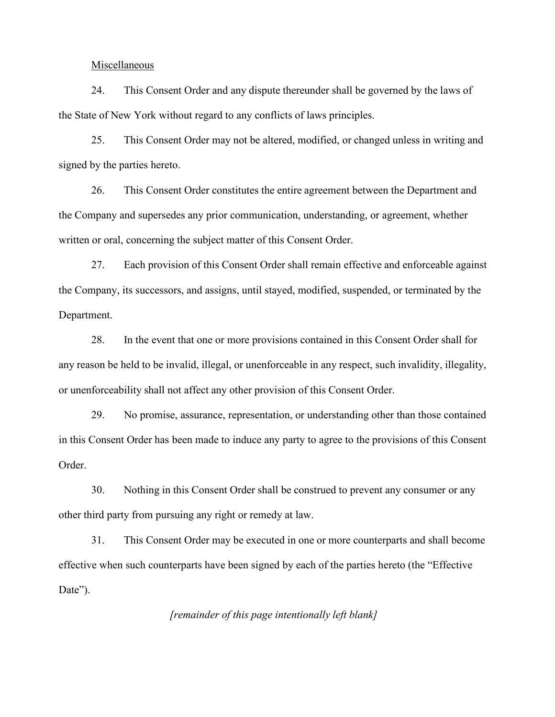### Miscellaneous

24. This Consent Order and any dispute thereunder shall be governed by the laws of the State of New York without regard to any conflicts of laws principles.

25. This Consent Order may not be altered, modified, or changed unless in writing and signed by the parties hereto.

26. This Consent Order constitutes the entire agreement between the Department and the Company and supersedes any prior communication, understanding, or agreement, whether written or oral, concerning the subject matter of this Consent Order.

27. Each provision of this Consent Order shall remain effective and enforceable against the Company, its successors, and assigns, until stayed, modified, suspended, or terminated by the Department.

28. In the event that one or more provisions contained in this Consent Order shall for any reason be held to be invalid, illegal, or unenforceable in any respect, such invalidity, illegality, or unenforceability shall not affect any other provision of this Consent Order.

29. No promise, assurance, representation, or understanding other than those contained in this Consent Order has been made to induce any party to agree to the provisions of this Consent Order.

30. Nothing in this Consent Order shall be construed to prevent any consumer or any other third party from pursuing any right or remedy at law.

31. This Consent Order may be executed in one or more counterparts and shall become effective when such counterparts have been signed by each of the parties hereto (the "Effective Date").

*[remainder of this page intentionally left blank]*